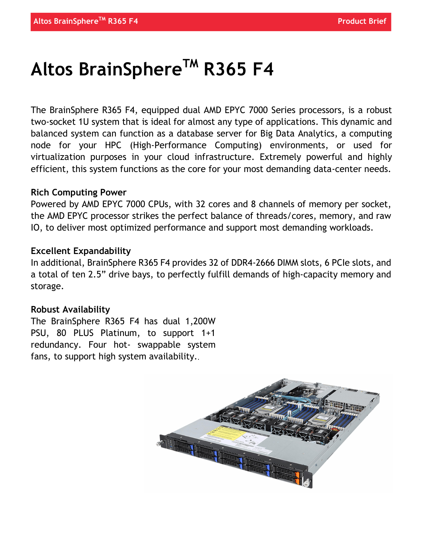# Altos BrainSphere<sup>TM</sup> R365 F4

The BrainSphere R365 F4, equipped dual AMD EPYC 7000 Series processors, is a robust two-socket 1U system that is ideal for almost any type of applications. This dynamic and balanced system can function as a database server for Big Data Analytics, a computing node for your HPC (High-Performance Computing) environments, or used for virtualization purposes in your cloud infrastructure. Extremely powerful and highly efficient, this system functions as the core for your most demanding data-center needs.

### Rich Computing Power

Powered by AMD EPYC 7000 CPUs, with 32 cores and 8 channels of memory per socket, the AMD EPYC processor strikes the perfect balance of threads/cores, memory, and raw IO, to deliver most optimized performance and support most demanding workloads.

### Excellent Expandability

In additional, BrainSphere R365 F4 provides 32 of DDR4-2666 DIMM slots, 6 PCIe slots, and a total of ten 2.5" drive bays, to perfectly fulfill demands of high-capacity memory and storage.

## Robust Availability

The BrainSphere R365 F4 has dual 1,200W PSU, 80 PLUS Platinum, to support 1+1 redundancy. Four hot- swappable system fans, to support high system availability..